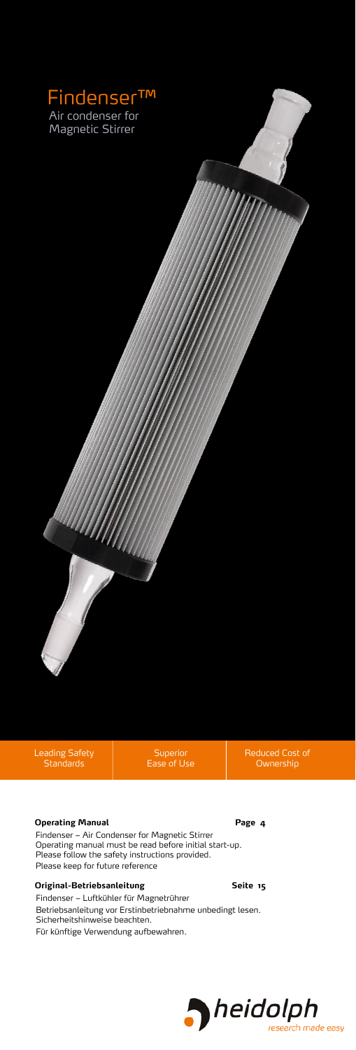

Leading Safety Standards

Superior

Reduced Cost of Ownership

### **Operating Manual Page 4**

Findenser – Air Condenser for Magnetic Stirrer Operating manual must be read before initial start-up. Please follow the safety instructions provided. Please keep for future reference

### **Original-Betriebsanleitung Seite 15**

Findenser – Luftkühler für Magnetrührer Betriebsanleitung vor Erstinbetriebnahme unbedingt lesen. Sicherheitshinweise beachten. Für künftige Verwendung aufbewahren.

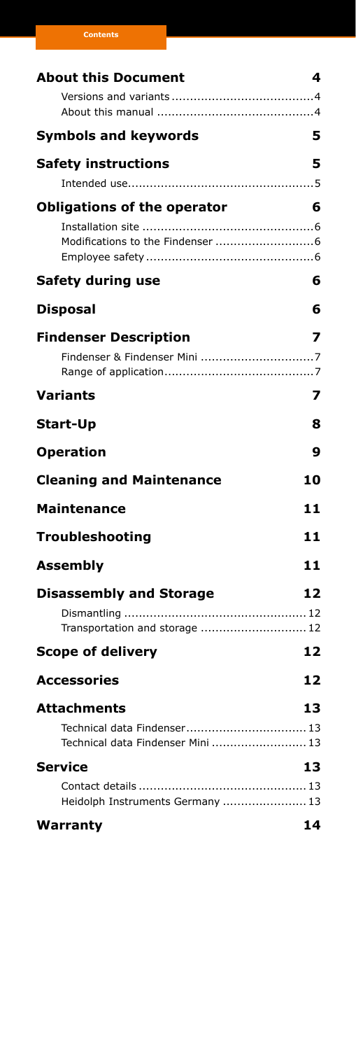| <b>About this Document</b>         | 4  |
|------------------------------------|----|
|                                    |    |
|                                    |    |
| <b>Symbols and keywords</b>        | 5  |
| <b>Safety instructions</b>         | 5  |
|                                    |    |
| <b>Obligations of the operator</b> | 6  |
|                                    |    |
|                                    |    |
|                                    |    |
| <b>Safety during use</b>           | 6  |
| <b>Disposal</b>                    | 6  |
| <b>Findenser Description</b>       | 7  |
|                                    |    |
|                                    |    |
| Variants                           | 7  |
| <b>Start-Up</b>                    | 8  |
| <b>Operation</b>                   | 9  |
| <b>Cleaning and Maintenance</b>    | 10 |
| <b>Maintenance</b>                 | 11 |
| <b>Troubleshooting</b>             | 11 |
| <b>Assembly</b>                    | 11 |
| <b>Disassembly and Storage</b>     | 12 |
|                                    |    |
| Transportation and storage  12     |    |
| <b>Scope of delivery</b>           | 12 |
| <b>Accessories</b>                 | 12 |
| <b>Attachments</b>                 | 13 |
|                                    |    |
| Technical data Findenser Mini  13  |    |
| <b>Service</b>                     | 13 |
|                                    |    |
| Heidolph Instruments Germany  13   |    |
| Warranty                           | 14 |

**Contents**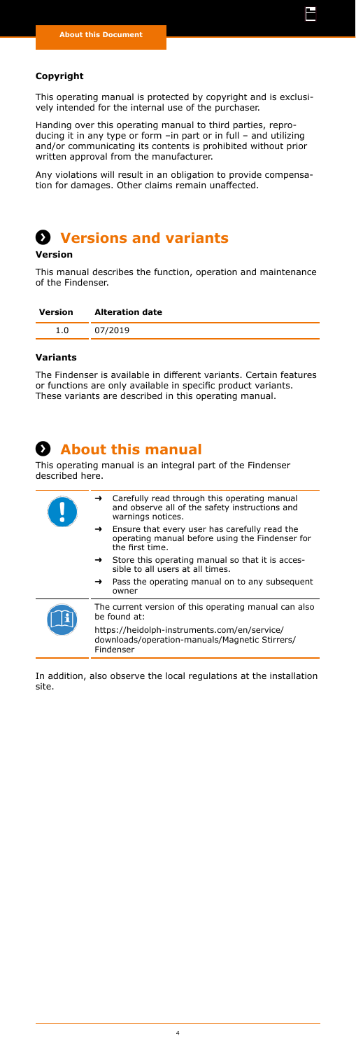### <span id="page-3-0"></span>**Copyright**

This operating manual is protected by copyright and is exclusively intended for the internal use of the purchaser.

li

Handing over this operating manual to third parties, reproducing it in any type or form –in part or in full – and utilizing and/or communicating its contents is prohibited without prior written approval from the manufacturer.

Any violations will result in an obligation to provide compensation for damages. Other claims remain unaffected.

# **Versions and variants Versions and variants**

### **Version**

This manual describes the function, operation and maintenance of the Findenser.

| Version | <b>Alteration date</b> |
|---------|------------------------|
|         | 07/2019                |

### **Variants**

The Findenser is available in different variants. Certain features or functions are only available in specific product variants. These variants are described in this operating manual.

## **About this manual About this manual**

This operating manual is an integral part of the Findenser described here.

| $\rightarrow$ Carefully read through this operating manual<br>and observe all of the safety instructions and<br>warnings notices.    |  |
|--------------------------------------------------------------------------------------------------------------------------------------|--|
| Ensure that every user has carefully read the<br>$\rightarrow$<br>operating manual before using the Findenser for<br>the first time. |  |
| $\rightarrow$ Store this operating manual so that it is acces-<br>sible to all users at all times.                                   |  |
| $\rightarrow$ Pass the operating manual on to any subsequent<br>owner                                                                |  |
| The current version of this operating manual can also<br>be found at:                                                                |  |
| https://heidolph-instruments.com/en/service/<br>downloads/operation-manuals/Magnetic Stirrers/<br>Findenser                          |  |
|                                                                                                                                      |  |

In addition, also observe the local regulations at the installation site.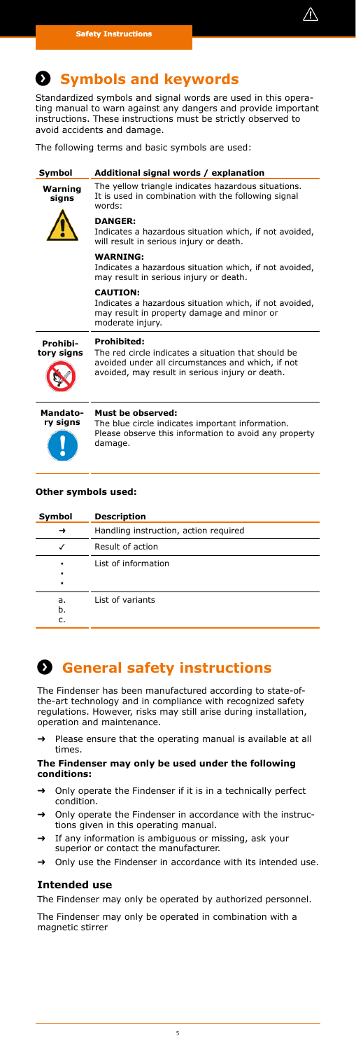

# <span id="page-4-0"></span>**Symbols and keywords Symbols and keywords**

Standardized symbols and signal words are used in this operating manual to warn against any dangers and provide important instructions. These instructions must be strictly observed to avoid accidents and damage.

The following terms and basic symbols are used:

| Symbol                 | Additional signal words / explanation                                                                                                                                      |
|------------------------|----------------------------------------------------------------------------------------------------------------------------------------------------------------------------|
| Warning<br>signs       | The yellow triangle indicates hazardous situations.<br>It is used in combination with the following signal<br>words:                                                       |
|                        | <b>DANGER:</b><br>Indicates a hazardous situation which, if not avoided,<br>will result in serious injury or death.                                                        |
|                        | <b>WARNING:</b><br>Indicates a hazardous situation which, if not avoided,<br>may result in serious injury or death.                                                        |
|                        | <b>CAUTION:</b><br>Indicates a hazardous situation which, if not avoided,<br>may result in property damage and minor or<br>moderate injury.                                |
| Prohibi-<br>tory signs | Prohibited:<br>The red circle indicates a situation that should be<br>avoided under all circumstances and which, if not<br>avoided, may result in serious injury or death. |
| Mandato-<br>ry signs   | Must be observed:<br>The blue circle indicates important information.<br>Please observe this information to avoid any property<br>damage.                                  |

### **Other symbols used:**

| Symbol         | <b>Description</b>                    |
|----------------|---------------------------------------|
|                | Handling instruction, action required |
| ✓              | Result of action                      |
| ٠<br>٠<br>٠    | List of information                   |
| a.<br>b.<br>c. | List of variants                      |

## **Safety instructions General safety instructions**

The Findenser has been manufactured according to state-ofthe-art technology and in compliance with recognized safety regulations. However, risks may still arise during installation, operation and maintenance.

Please ensure that the operating manual is available at all times.

### **The Findenser may only be used under the following conditions:**

- → Only operate the Findenser if it is in a technically perfect condition.
- → Only operate the Findenser in accordance with the instructions given in this operating manual.
- → If any information is ambiguous or missing, ask your superior or contact the manufacturer.
- ➜ Only use the Findenser in accordance with its intended use.

### **Intended use**

The Findenser may only be operated by authorized personnel. The Findenser may only be operated in combination with a magnetic stirrer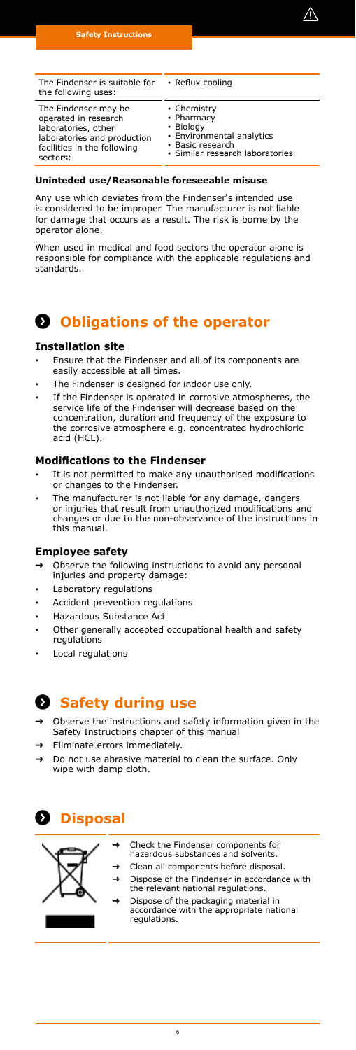

<span id="page-5-0"></span>

| The Findenser is suitable for<br>the following uses: | • Reflux cooling                |
|------------------------------------------------------|---------------------------------|
| The Findenser may be                                 | • Chemistry                     |
| operated in research                                 | • Pharmacy                      |
| laboratories, other                                  | • Biology                       |
| laboratories and production                          | · Environmental analytics       |
| facilities in the following                          | · Basic research                |
| sectors:                                             | · Similar research laboratories |

### **Uninteded use/Reasonable foreseeable misuse**

Any use which deviates from the Findenser's intended use is considered to be improper. The manufacturer is not liable for damage that occurs as a result. The risk is borne by the operator alone.

When used in medical and food sectors the operator alone is responsible for compliance with the applicable regulations and standards.

## $\Omega$  **Obligations of the operator**

#### **Installation site**

- **▪** Ensure that the Findenser and all of its components are easily accessible at all times.
- The Findenser is designed for indoor use only.
- If the Findenser is operated in corrosive atmospheres, the service life of the Findenser will decrease based on the concentration, duration and frequency of the exposure to the corrosive atmosphere e.g. concentrated hydrochloric acid (HCL).

#### **Modifications to the Findenser**

- It is not permitted to make any unauthorised modifications or changes to the Findenser.
- **▪** The manufacturer is not liable for any damage, dangers or injuries that result from unauthorized modifications and changes or due to the non-observance of the instructions in this manual.

### **Employee safety**

- ➜ Observe the following instructions to avoid any personal injuries and property damage:
- **Laboratory regulations**
- **Accident prevention regulations**
- **▪** Hazardous Substance Act
- Other generally accepted occupational health and safety regulations
- **▪** Local regulations

### **Safety during use Safety during use**

- ➜ Observe the instructions and safety information given in the Safety Instructions chapter of this manual
- ➜ Eliminate errors immediately.
- ➜ Do not use abrasive material to clean the surface. Only wipe with damp cloth.

# **Disposal Disposal**



- ➜ Check the Findenser components for hazardous substances and solvents.
- ➜ Clean all components before disposal.
	- ➜ Dispose of the Findenser in accordance with the relevant national regulations.
- → Dispose of the packaging material in<br>accordance with the appropriate national regulations.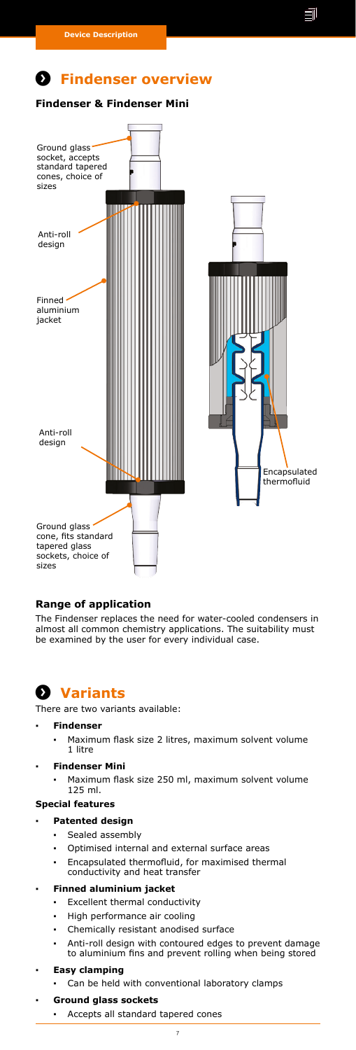## <span id="page-6-0"></span> $P$  Findenser overview

**Findenser & Findenser Mini**



### **Range of application**

The Findenser replaces the need for water-cooled condensers in almost all common chemistry applications. The suitability must be examined by the user for every individual case.

## **Variants Variants**

There are two variants available:

### **▪ Findenser**

**▪** Maximum flask size 2 litres, maximum solvent volume 1 litre

### **▪ Findenser Mini**

Maximum flask size 250 ml, maximum solvent volume 125 ml.

#### **Special features**

#### **▪ Patented design**

- **▪** Sealed assembly
- Optimised internal and external surface areas
- **▪** Encapsulated thermofluid, for maximised thermal conductivity and heat transfer

### **▪ Finned aluminium jacket**

- **▪** Excellent thermal conductivity
- **High performance air cooling**
- **▪** Chemically resistant anodised surface
- **▪** Anti-roll design with contoured edges to prevent damage to aluminium fins and prevent rolling when being stored

### **▪ Easy clamping**

- Can be held with conventional laboratory clamps
- **▪ Ground glass sockets**
	- **▪** Accepts all standard tapered cones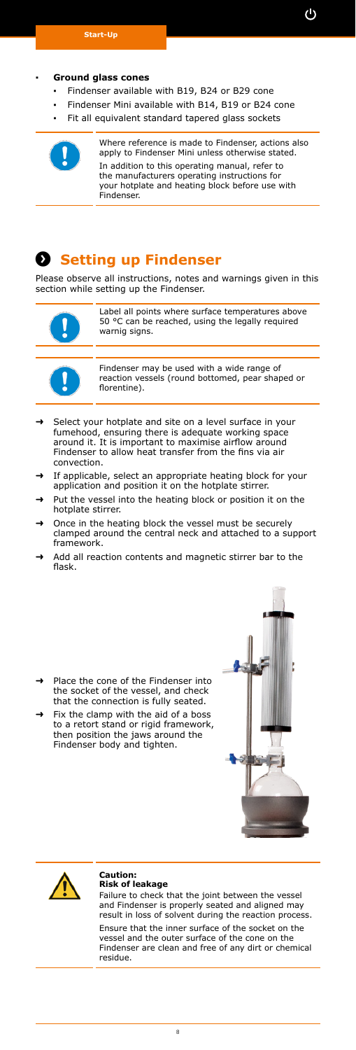#### <span id="page-7-0"></span>**▪ Ground glass cones**

- **▪** Findenser available with B19, B24 or B29 cone
- **▪** Findenser Mini available with B14, B19 or B24 cone
- Fit all equivalent standard tapered glass sockets



### **8** Setting up Findenser

Please observe all instructions, notes and warnings given in this section while setting up the Findenser.



Label all points where surface temperatures above 50 °C can be reached, using the legally required warnig signs.



Findenser may be used with a wide range of reaction vessels (round bottomed, pear shaped or florentine).

- ➜ Select your hotplate and site on a level surface in your fumehood, ensuring there is adequate working space around it. It is important to maximise airflow around Findenser to allow heat transfer from the fins via air convection.
- If applicable, select an appropriate heating block for your application and position it on the hotplate stirrer.
- Put the vessel into the heating block or position it on the hotplate stirrer.
- Once in the heating block the vessel must be securely clamped around the central neck and attached to a support framework.
- Add all reaction contents and magnetic stirrer bar to the flask.



Fix the clamp with the aid of a boss to a retort stand or rigid framework, then position the jaws around the Findenser body and tighten.





#### **Caution: Risk of leakage**

Failure to check that the joint between the vessel and Findenser is properly seated and aligned may result in loss of solvent during the reaction process. Ensure that the inner surface of the socket on the vessel and the outer surface of the cone on the Findenser are clean and free of any dirt or chemical residue.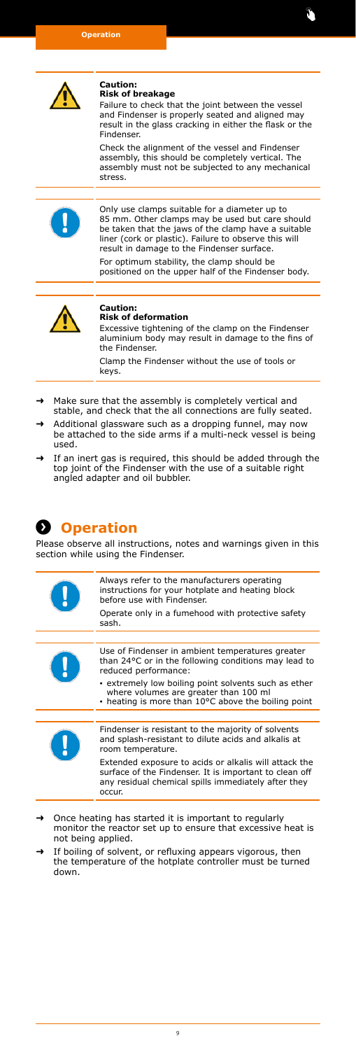<span id="page-8-0"></span>

## **Caution: Risk of breakage**

Failure to check that the joint between the vessel and Findenser is properly seated and aligned may result in the glass cracking in either the flask or the Findenser.

Check the alignment of the vessel and Findenser assembly, this should be completely vertical. The assembly must not be subjected to any mechanical stress.



Only use clamps suitable for a diameter up to 85 mm. Other clamps may be used but care should be taken that the jaws of the clamp have a suitable liner (cork or plastic). Failure to observe this will result in damage to the Findenser surface.

For optimum stability, the clamp should be positioned on the upper half of the Findenser body.



#### **Caution: Risk of deformation**

Excessive tightening of the clamp on the Findenser aluminium body may result in damage to the fins of the Findenser.

Clamp the Findenser without the use of tools or keys.

- ➜ Make sure that the assembly is completely vertical and stable, and check that the all connections are fully seated. Additional glassware such as a dropping funnel, may now
- be attached to the side arms if a multi-neck vessel is being used.
- If an inert gas is required, this should be added through the top joint of the Findenser with the use of a suitable right angled adapter and oil bubbler.

# **Operation Operation**

Please observe all instructions, notes and warnings given in this section while using the Findenser.

| Always refer to the manufacturers operating<br>instructions for your hotplate and heating block<br>before use with Findenser.                                                    |
|----------------------------------------------------------------------------------------------------------------------------------------------------------------------------------|
| Operate only in a fumehood with protective safety<br>sash.                                                                                                                       |
|                                                                                                                                                                                  |
| Use of Findenser in ambient temperatures greater<br>than 24°C or in the following conditions may lead to<br>reduced performance:                                                 |
| extremely low boiling point solvents such as ether<br>where volumes are greater than 100 ml<br>• heating is more than 10°C above the boiling point                               |
|                                                                                                                                                                                  |
| Findenser is resistant to the majority of solvents<br>and splash-resistant to dilute acids and alkalis at<br>room temperature.                                                   |
| Extended exposure to acids or alkalis will attack the<br>surface of the Findenser. It is important to clean off<br>any residual chemical spills immediately after they<br>occur. |
|                                                                                                                                                                                  |

- ➜ Once heating has started it is important to regularly monitor the reactor set up to ensure that excessive heat is not being applied.
- ➜ If boiling of solvent, or refluxing appears vigorous, then the temperature of the hotplate controller must be turned down.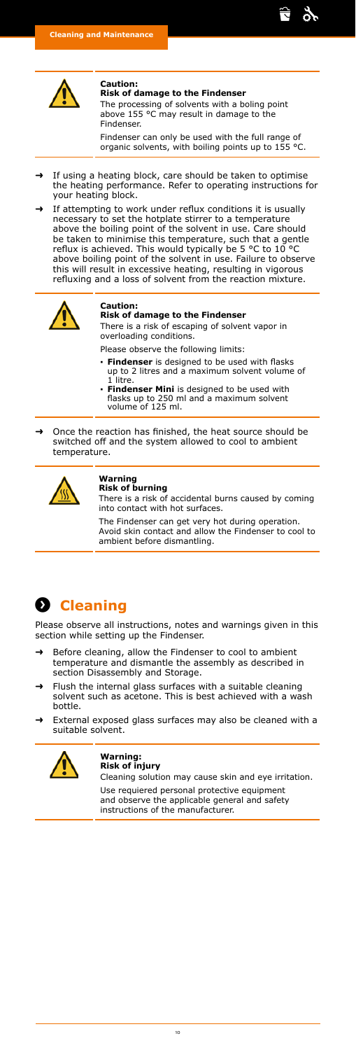<span id="page-9-0"></span>

#### **Caution: Risk of damage to the Findenser**

The processing of solvents with a boling point above 155 °C may result in damage to the Findenser.

Findenser can only be used with the full range of organic solvents, with boiling points up to 155 °C.

ਿੰ \$,

- ➜ If using a heating block, care should be taken to optimise the heating performance. Refer to operating instructions for your heating block.
- If attempting to work under reflux conditions it is usually necessary to set the hotplate stirrer to a temperature above the boiling point of the solvent in use. Care should be taken to minimise this temperature, such that a gentle reflux is achieved. This would typically be 5 °C to 10 °C above boiling point of the solvent in use. Failure to observe this will result in excessive heating, resulting in vigorous refluxing and a loss of solvent from the reaction mixture.



### **Caution:**

### **Risk of damage to the Findenser**

There is a risk of escaping of solvent vapor in overloading conditions.

- Please observe the following limits:
- **▪ Findenser** is designed to be used with flasks up to 2 litres and a maximum solvent volume of
- 1 litre. **▪ Findenser Mini** is designed to be used with flasks up to 250 ml and a maximum solvent volume of 125 ml.

➜ Once the reaction has finished, the heat source should be switched off and the system allowed to cool to ambient temperature.



## **Warning Risk of burning**

There is a risk of accidental burns caused by coming into contact with hot surfaces.

The Findenser can get very hot during operation. Avoid skin contact and allow the Findenser to cool to ambient before dismantling.



Please observe all instructions, notes and warnings given in this section while setting up the Findenser.

- ➜ Before cleaning, allow the Findenser to cool to ambient temperature and dismantle the assembly as described in section Disassembly and Storage.
- Flush the internal glass surfaces with a suitable cleaning solvent such as acetone. This is best achieved with a wash bottle.
- External exposed glass surfaces may also be cleaned with a suitable solvent.



#### **Warning: Risk of injury**

Cleaning solution may cause skin and eye irritation. Use requiered personal protective equipment and observe the applicable general and safety instructions of the manufacturer.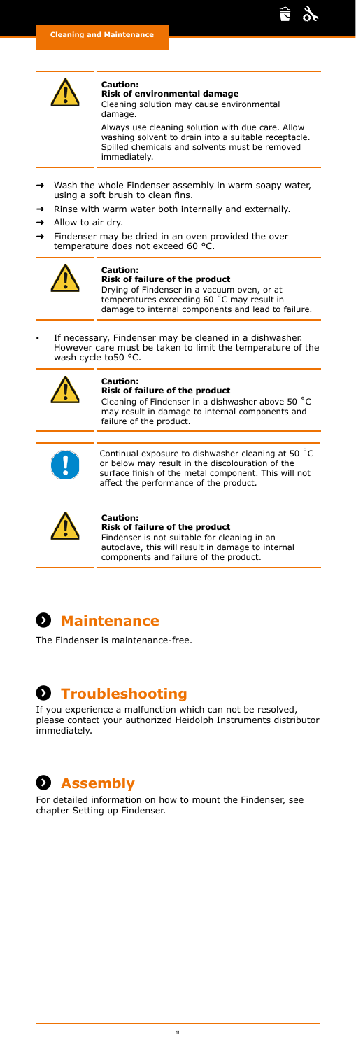<span id="page-10-0"></span>

#### **Caution: Risk of environmental damage**

Cleaning solution may cause environmental damage.

Always use cleaning solution with due care. Allow washing solvent to drain into a suitable receptacle. Spilled chemicals and solvents must be removed immediately.

ती  $\frac{1}{2}$ 

- Wash the whole Findenser assembly in warm soapy water, using a soft brush to clean fins.
- ➜ Rinse with warm water both internally and externally. ➜ Allow to air dry.
- 
- → Findenser may be dried in an oven provided the over temperature does not exceed 60 °C.



### **Caution:**

### **Risk of failure of the product**

Drying of Findenser in a vacuum oven, or at temperatures exceeding 60 ˚C may result in damage to internal components and lead to failure.

**▪** If necessary, Findenser may be cleaned in a dishwasher. However care must be taken to limit the temperature of the wash cycle to50 °C.



## **Caution: Risk of failure of the product**

Cleaning of Findenser in a dishwasher above 50 ˚C may result in damage to internal components and failure of the product.



Continual exposure to dishwasher cleaning at 50 ˚C or below may result in the discolouration of the surface finish of the metal component. This will not affect the performance of the product.



### **Caution:**

**Risk of failure of the product** Findenser is not suitable for cleaning in an autoclave, this will result in damage to internal components and failure of the product.



The Findenser is maintenance-free.

# $\Omega$  Troubleshooting

If you experience a malfunction which can not be resolved, please contact your authorized Heidolph Instruments distributor immediately.



For detailed information on how to mount the Findenser, see chapter Setting up Findenser.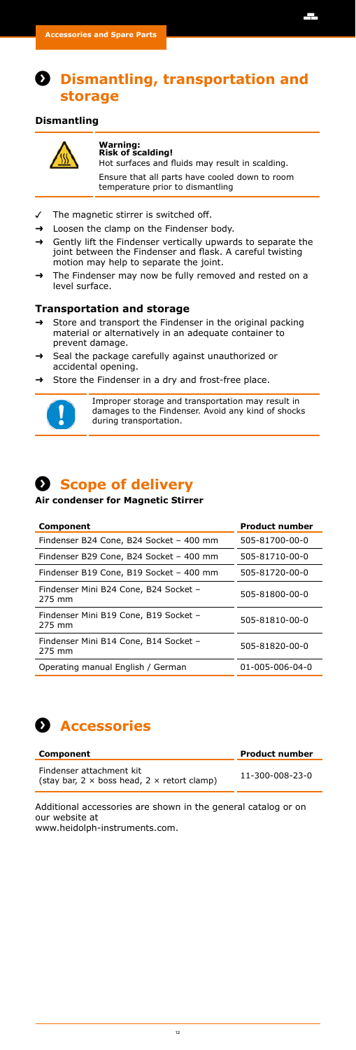### <span id="page-11-0"></span>**Dismantling, transportation and storage**

### **Dismantling**



### **Warning: Risk of scalding!**

Hot surfaces and fluids may result in scalding. Ensure that all parts have cooled down to room temperature prior to dismantling Ŧ

- The magnetic stirrer is switched off.
- ➜ Loosen the clamp on the Findenser body.
- ➜ Gently lift the Findenser vertically upwards to separate the joint between the Findenser and flask. A careful twisting motion may help to separate the joint.
- The Findenser may now be fully removed and rested on a level surface.

### **Transportation and storage**

- Store and transport the Findenser in the original packing material or alternatively in an adequate container to prevent damage.
- Seal the package carefully against unauthorized or accidental opening.
- Store the Findenser in a dry and frost-free place.



Improper storage and transportation may result in damages to the Findenser. Avoid any kind of shocks during transportation.

### **Scope of delivery Scope of delivery**

### **Air condenser for Magnetic Stirrer**

| Component                                       | <b>Product number</b> |
|-------------------------------------------------|-----------------------|
| Findenser B24 Cone, B24 Socket - 400 mm         | 505-81700-00-0        |
| Findenser B29 Cone, B24 Socket - 400 mm         | 505-81710-00-0        |
| Findenser B19 Cone, B19 Socket - 400 mm         | 505-81720-00-0        |
| Findenser Mini B24 Cone, B24 Socket -<br>275 mm | 505-81800-00-0        |
| Findenser Mini B19 Cone, B19 Socket -<br>275 mm | 505-81810-00-0        |
| Findenser Mini B14 Cone, B14 Socket -<br>275 mm | 505-81820-00-0        |
| Operating manual English / German               | 01-005-006-04-0       |



| Component                                                                             | <b>Product number</b> |
|---------------------------------------------------------------------------------------|-----------------------|
| Findenser attachment kit<br>(stay bar, $2 \times$ boss head, $2 \times$ retort clamp) | 11-300-008-23-0       |

Additional accessories are shown in the general catalog or on our website at www.heidolph-instruments.com.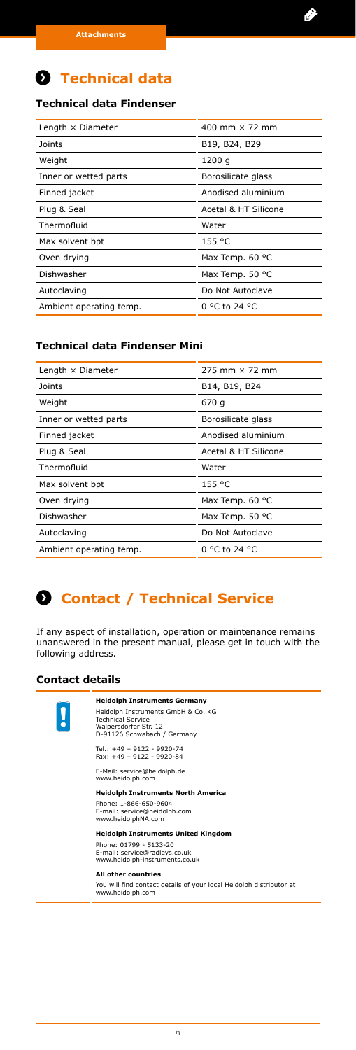# <span id="page-12-0"></span>**A** Technical data

### **Technical data Findenser**

| Length $\times$ Diameter | 400 mm $\times$ 72 mm |
|--------------------------|-----------------------|
| Joints                   | B19, B24, B29         |
| Weight                   | 1200 g                |
| Inner or wetted parts    | Borosilicate glass    |
| Finned jacket            | Anodised aluminium    |
| Plug & Seal              | Acetal & HT Silicone  |
| Thermofluid              | Water                 |
| Max solvent bpt          | 155 °C                |
| Oven drying              | Max Temp. 60 °C       |
| Dishwasher               | Max Temp. 50 °C       |
| Autoclaving              | Do Not Autoclave      |
| Ambient operating temp.  | 0 °C to 24 °C         |

### **Technical data Findenser Mini**

| Length $\times$ Diameter | $275$ mm $\times$ 72 mm |
|--------------------------|-------------------------|
| Joints                   | B14, B19, B24           |
| Weight                   | 670 g                   |
| Inner or wetted parts    | Borosilicate glass      |
| Finned jacket            | Anodised aluminium      |
| Plug & Seal              | Acetal & HT Silicone    |
| Thermofluid              | Water                   |
| Max solvent bpt          | 155 °C                  |
| Oven drying              | Max Temp. 60 °C         |
| Dishwasher               | Max Temp. 50 °C         |
| Autoclaving              | Do Not Autoclave        |
| Ambient operating temp.  | 0 °C to 24 °C           |

# **Service Contact / Technical Service**

If any aspect of installation, operation or maintenance remains unanswered in the present manual, please get in touch with the following address.

### **Contact details**



### **Heidolph Instruments Germany**

Heidolph Instruments GmbH & Co. KG Technical Service Walpersdorfer Str. 12 D-91126 Schwabach / Germany

Tel.: +49 – 9122 - 9920-74 Fax: +49 – 9122 - 9920-84

E-Mail: service@heidolph.de www.heidolph.com

**Heidolph Instruments North America** 

Phone: 1-866-650-9604 E-mail: service@heidolph.com www.heidolphNA.com

**Heidolph Instruments United Kingdom**

Phone: 01799 - 5133-20 E-mail: service@radleys.co.uk www.heidolph-instruments.co.uk

### **All other countries**

You will find contact details of your local Heidolph distributor at www.heidolph.com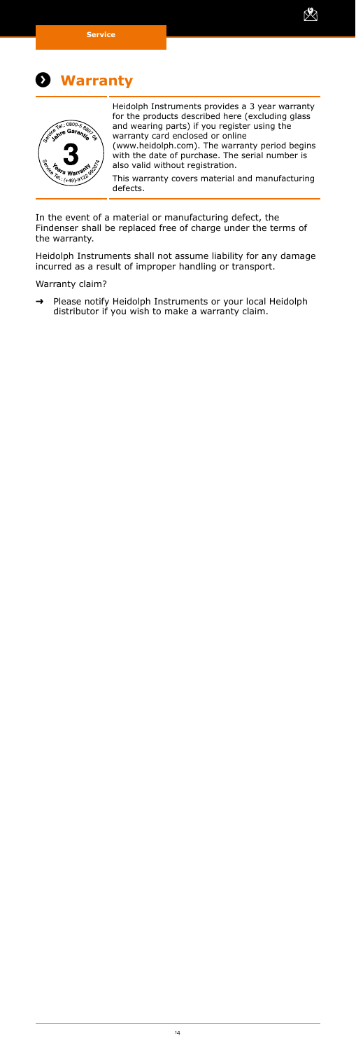<span id="page-13-0"></span>

### **Warranty Warranty**



Heidolph Instruments provides a 3 year warranty for the products described here (excluding glass and wearing parts) if you register using the

X

warranty card enclosed or online (www.heidolph.com). The warranty period begins with the date of purchase. The serial number is also valid without registration.

This warranty covers material and manufacturing defects.

In the event of a material or manufacturing defect, the Findenser shall be replaced free of charge under the terms of the warranty.

Heidolph Instruments shall not assume liability for any damage incurred as a result of improper handling or transport.

Warranty claim?

➜ Please notify Heidolph Instruments or your local Heidolph distributor if you wish to make a warranty claim.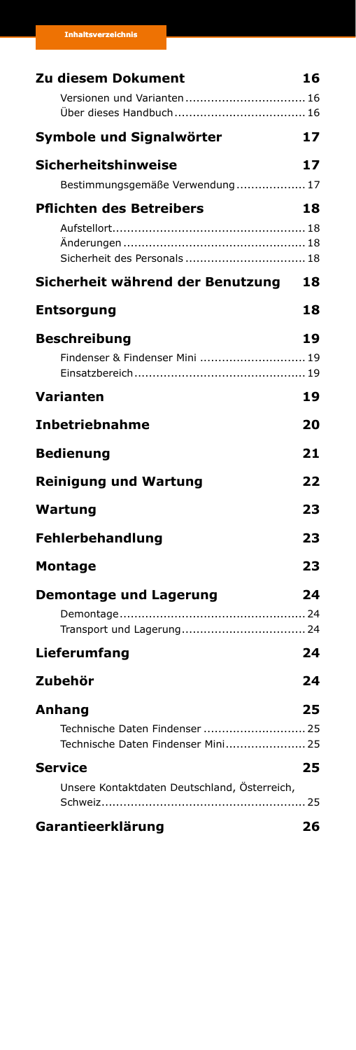| Versionen und Varianten  16<br>Symbole und Signalwörter<br>17<br>Sicherheitshinweise<br>Bestimmungsgemäße Verwendung 17<br><b>Pflichten des Betreibers</b><br>Sicherheit des Personals  18<br>Sicherheit während der Benutzung<br><b>Entsorgung</b><br><b>Beschreibung</b><br>19<br>Findenser & Findenser Mini  19<br><b>Varianten</b><br><b>Inbetriebnahme</b><br><b>Bedienung</b><br><b>Reinigung und Wartung</b><br>23<br><b>Wartung</b><br><b>Fehlerbehandlung</b><br>23<br>23<br><b>Montage</b><br>Demontage und Lagerung<br>Lieferumfang<br>Zubehör<br>Anhang<br>Technische Daten Findenser  25<br>Technische Daten Findenser Mini 25<br><b>Service</b><br>25<br>Unsere Kontaktdaten Deutschland, Österreich, | Zu diesem Dokument | 16 |
|---------------------------------------------------------------------------------------------------------------------------------------------------------------------------------------------------------------------------------------------------------------------------------------------------------------------------------------------------------------------------------------------------------------------------------------------------------------------------------------------------------------------------------------------------------------------------------------------------------------------------------------------------------------------------------------------------------------------|--------------------|----|
|                                                                                                                                                                                                                                                                                                                                                                                                                                                                                                                                                                                                                                                                                                                     |                    |    |
|                                                                                                                                                                                                                                                                                                                                                                                                                                                                                                                                                                                                                                                                                                                     |                    |    |
|                                                                                                                                                                                                                                                                                                                                                                                                                                                                                                                                                                                                                                                                                                                     |                    |    |
|                                                                                                                                                                                                                                                                                                                                                                                                                                                                                                                                                                                                                                                                                                                     |                    | 17 |
|                                                                                                                                                                                                                                                                                                                                                                                                                                                                                                                                                                                                                                                                                                                     |                    |    |
|                                                                                                                                                                                                                                                                                                                                                                                                                                                                                                                                                                                                                                                                                                                     |                    | 18 |
|                                                                                                                                                                                                                                                                                                                                                                                                                                                                                                                                                                                                                                                                                                                     |                    |    |
|                                                                                                                                                                                                                                                                                                                                                                                                                                                                                                                                                                                                                                                                                                                     |                    |    |
|                                                                                                                                                                                                                                                                                                                                                                                                                                                                                                                                                                                                                                                                                                                     |                    | 18 |
|                                                                                                                                                                                                                                                                                                                                                                                                                                                                                                                                                                                                                                                                                                                     |                    | 18 |
|                                                                                                                                                                                                                                                                                                                                                                                                                                                                                                                                                                                                                                                                                                                     |                    |    |
|                                                                                                                                                                                                                                                                                                                                                                                                                                                                                                                                                                                                                                                                                                                     |                    |    |
|                                                                                                                                                                                                                                                                                                                                                                                                                                                                                                                                                                                                                                                                                                                     |                    |    |
|                                                                                                                                                                                                                                                                                                                                                                                                                                                                                                                                                                                                                                                                                                                     |                    | 19 |
|                                                                                                                                                                                                                                                                                                                                                                                                                                                                                                                                                                                                                                                                                                                     |                    | 20 |
|                                                                                                                                                                                                                                                                                                                                                                                                                                                                                                                                                                                                                                                                                                                     |                    | 21 |
|                                                                                                                                                                                                                                                                                                                                                                                                                                                                                                                                                                                                                                                                                                                     |                    | 22 |
|                                                                                                                                                                                                                                                                                                                                                                                                                                                                                                                                                                                                                                                                                                                     |                    |    |
|                                                                                                                                                                                                                                                                                                                                                                                                                                                                                                                                                                                                                                                                                                                     |                    |    |
|                                                                                                                                                                                                                                                                                                                                                                                                                                                                                                                                                                                                                                                                                                                     |                    |    |
|                                                                                                                                                                                                                                                                                                                                                                                                                                                                                                                                                                                                                                                                                                                     |                    | 24 |
|                                                                                                                                                                                                                                                                                                                                                                                                                                                                                                                                                                                                                                                                                                                     |                    |    |
|                                                                                                                                                                                                                                                                                                                                                                                                                                                                                                                                                                                                                                                                                                                     |                    |    |
|                                                                                                                                                                                                                                                                                                                                                                                                                                                                                                                                                                                                                                                                                                                     |                    | 24 |
|                                                                                                                                                                                                                                                                                                                                                                                                                                                                                                                                                                                                                                                                                                                     |                    | 24 |
|                                                                                                                                                                                                                                                                                                                                                                                                                                                                                                                                                                                                                                                                                                                     |                    | 25 |
|                                                                                                                                                                                                                                                                                                                                                                                                                                                                                                                                                                                                                                                                                                                     |                    |    |
|                                                                                                                                                                                                                                                                                                                                                                                                                                                                                                                                                                                                                                                                                                                     |                    |    |
|                                                                                                                                                                                                                                                                                                                                                                                                                                                                                                                                                                                                                                                                                                                     |                    |    |
|                                                                                                                                                                                                                                                                                                                                                                                                                                                                                                                                                                                                                                                                                                                     | Garantieerklärung  | 26 |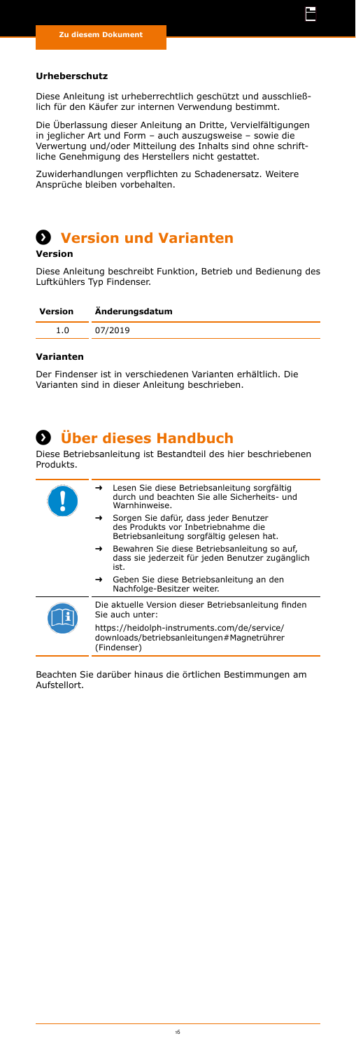#### <span id="page-15-0"></span>**Urheberschutz**

Diese Anleitung ist urheberrechtlich geschützt und ausschließlich für den Käufer zur internen Verwendung bestimmt.

li

Die Überlassung dieser Anleitung an Dritte, Vervielfältigungen in jeglicher Art und Form – auch auszugsweise – sowie die Verwertung und/oder Mitteilung des Inhalts sind ohne schriftliche Genehmigung des Herstellers nicht gestattet.

Zuwiderhandlungen verpflichten zu Schadenersatz. Weitere Ansprüche bleiben vorbehalten.

# $**Q**$  **Version und Varianten**

**Version**

Diese Anleitung beschreibt Funktion, Betrieb und Bedienung des Luftkühlers Typ Findenser.

| Version | Änderungsdatum |
|---------|----------------|
| 1.0     | 07/2019        |

### **Varianten**

Der Findenser ist in verschiedenen Varianten erhältlich. Die Varianten sind in dieser Anleitung beschrieben.

**Über dieses Handbuch Über dieses Handbuch** Diese Betriebsanleitung ist Bestandteil des hier beschriebenen Produkts. ➜ Lesen Sie diese Betriebsanleitung sorgfältig durch und beachten Sie alle Sicherheits- und Warnhinweise.

- ➜ Sorgen Sie dafür, dass jeder Benutzer des Produkts vor Inbetriebnahme die Betriebsanleitung sorgfältig gelesen hat.
- ➜ Bewahren Sie diese Betriebsanleitung so auf, dass sie jederzeit für jeden Benutzer zugänglich ist.
- ➜ Geben Sie diese Betriebsanleitung an den Nachfolge-Besitzer weiter.



Die aktuelle Version dieser Betriebsanleitung finden Sie auch unter: https://heidolph-instruments.com/de/service/ downloads/betriebsanleitungen#Magnetrührer

(Findenser)

Beachten Sie darüber hinaus die örtlichen Bestimmungen am Aufstellort.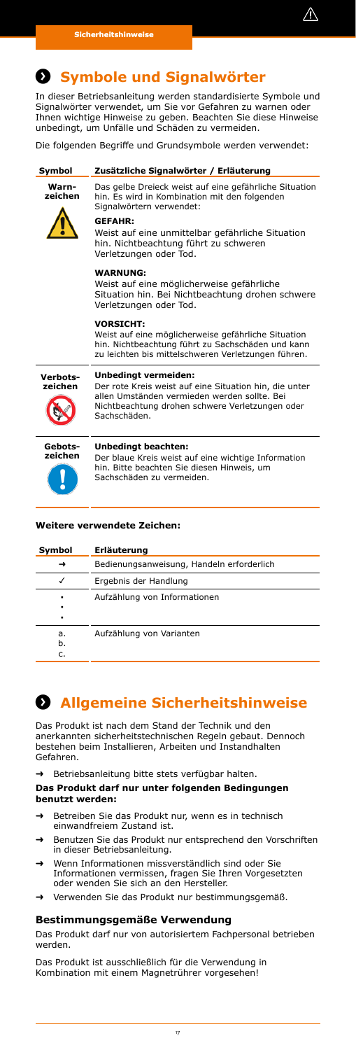

# <span id="page-16-0"></span>**Symbole und Signalwörter Symbole und Signalwörter**

In dieser Betriebsanleitung werden standardisierte Symbole und Signalwörter verwendet, um Sie vor Gefahren zu warnen oder Ihnen wichtige Hinweise zu geben. Beachten Sie diese Hinweise unbedingt, um Unfälle und Schäden zu vermeiden.

Die folgenden Begriffe und Grundsymbole werden verwendet:

| Symbol              | Zusätzliche Signalwörter / Erläuterung                                                                                                                                                            |  |
|---------------------|---------------------------------------------------------------------------------------------------------------------------------------------------------------------------------------------------|--|
| Warn-<br>zeichen    | Das gelbe Dreieck weist auf eine gefährliche Situation<br>hin. Es wird in Kombination mit den folgenden<br>Signalwörtern verwendet:                                                               |  |
|                     | <b>GEFAHR:</b><br>Weist auf eine unmittelbar gefährliche Situation<br>hin. Nichtbeachtung führt zu schweren<br>Verletzungen oder Tod.                                                             |  |
|                     | <b>WARNUNG:</b><br>Weist auf eine möglicherweise gefährliche<br>Situation hin. Bei Nichtbeachtung drohen schwere<br>Verletzungen oder Tod.                                                        |  |
|                     | <b>VORSICHT:</b><br>Weist auf eine möglicherweise gefährliche Situation<br>hin. Nichtbeachtung führt zu Sachschäden und kann<br>zu leichten bis mittelschweren Verletzungen führen.               |  |
| Verbots-<br>zeichen | Unbedingt vermeiden:<br>Der rote Kreis weist auf eine Situation hin, die unter<br>allen Umständen vermieden werden sollte. Bei<br>Nichtbeachtung drohen schwere Verletzungen oder<br>Sachschäden. |  |
| Gebots-<br>zeichen  | <b>Unbedingt beachten:</b><br>Der blaue Kreis weist auf eine wichtige Information<br>hin. Bitte beachten Sie diesen Hinweis, um<br>Sachschäden zu vermeiden.                                      |  |

### **Weitere verwendete Zeichen:**

| Symbol         | Erläuterung                               |
|----------------|-------------------------------------------|
|                | Bedienungsanweisung, Handeln erforderlich |
| √              | Ergebnis der Handlung                     |
| ٠<br>٠<br>٠    | Aufzählung von Informationen              |
| a.<br>b.<br>c. | Aufzählung von Varianten                  |

# **Sicherheitshinweise Allgemeine Sicherheitshinweise**

Das Produkt ist nach dem Stand der Technik und den anerkannten sicherheitstechnischen Regeln gebaut. Dennoch bestehen beim Installieren, Arbeiten und Instandhalten Gefahren.

➜ Betriebsanleitung bitte stets verfügbar halten.

### **Das Produkt darf nur unter folgenden Bedingungen benutzt werden:**

- ➜ Betreiben Sie das Produkt nur, wenn es in technisch einwandfreiem Zustand ist.
- ➜ Benutzen Sie das Produkt nur entsprechend den Vorschriften in dieser Betriebsanleitung.
- ➜ Wenn Informationen missverständlich sind oder Sie Informationen vermissen, fragen Sie Ihren Vorgesetzten oder wenden Sie sich an den Hersteller.
- ➜ Verwenden Sie das Produkt nur bestimmungsgemäß.

### **Bestimmungsgemäße Verwendung**

Das Produkt darf nur von autorisiertem Fachpersonal betrieben werden.

Das Produkt ist ausschließlich für die Verwendung in Kombination mit einem Magnetrührer vorgesehen!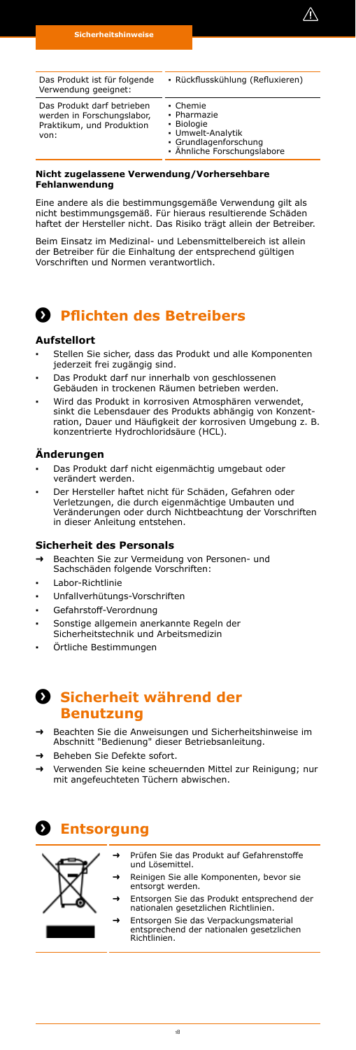

<span id="page-17-0"></span>

| Das Produkt ist für folgende<br>Verwendung geeignet:                                          | · Rückflusskühlung (Refluxieren)                                                                                   |  |
|-----------------------------------------------------------------------------------------------|--------------------------------------------------------------------------------------------------------------------|--|
| Das Produkt darf betrieben<br>werden in Forschungslabor,<br>Praktikum, und Produktion<br>von: | • Chemie<br>• Pharmazie<br>• Biologie<br>• Umwelt-Analytik<br>· Grundlagenforschung<br>· Ähnliche Forschungslabore |  |

### **Nicht zugelassene Verwendung/Vorhersehbare Fehlanwendung**

Eine andere als die bestimmungsgemäße Verwendung gilt als nicht bestimmungsgemäß. Für hieraus resultierende Schäden haftet der Hersteller nicht. Das Risiko trägt allein der Betreiber.

Beim Einsatz im Medizinal- und Lebensmittelbereich ist allein der Betreiber für die Einhaltung der entsprechend gültigen Vorschriften und Normen verantwortlich.

## **Pflichten des Betreibers Pflichten des Betreibers**

### **Aufstellort**

- **▪** Stellen Sie sicher, dass das Produkt und alle Komponenten jederzeit frei zugängig sind.
- Das Produkt darf nur innerhalb von geschlossenen Gebäuden in trockenen Räumen betrieben werden.
- **▪** Wird das Produkt in korrosiven Atmosphären verwendet, sinkt die Lebensdauer des Produkts abhängig von Konzentration, Dauer und Häufigkeit der korrosiven Umgebung z. B. konzentrierte Hydrochloridsäure (HCL).

### **Änderungen**

- **▪** Das Produkt darf nicht eigenmächtig umgebaut oder verändert werden.
- **▪** Der Hersteller haftet nicht für Schäden, Gefahren oder Verletzungen, die durch eigenmächtige Umbauten und Veränderungen oder durch Nichtbeachtung der Vorschriften in dieser Anleitung entstehen.

### **Sicherheit des Personals**

- ➜ Beachten Sie zur Vermeidung von Personen- und
- Sachschäden folgende Vorschriften:
- **▪** Labor-Richtlinie
- **▪** Unfallverhütungs-Vorschriften
- **▪** Gefahrstoff-Verordnung
- **▪** Sonstige allgemein anerkannte Regeln der
- Sicherheitstechnik und Arbeitsmedizin
- **▪** Örtliche Bestimmungen

## **8** Sicherheit während der **Benutzung**

- ➜ Beachten Sie die Anweisungen und Sicherheitshinweise im Abschnitt "Bedienung" dieser Betriebsanleitung.
- ➜ Beheben Sie Defekte sofort.
- ➜ Verwenden Sie keine scheuernden Mittel zur Reinigung; nur mit angefeuchteten Tüchern abwischen.

## **Entsorgung Entsorgung**



- ➜ Prüfen Sie das Produkt auf Gefahrenstoffe und Lösemittel.
- → Reinigen Sie alle Komponenten, bevor sie<br>entsorgt werden.
- ➜ Entsorgen Sie das Produkt entsprechend der nationalen gesetzlichen Richtlinien.
	- ➜ Entsorgen Sie das Verpackungsmaterial entsprechend der nationalen gesetzlichen Richtlinien.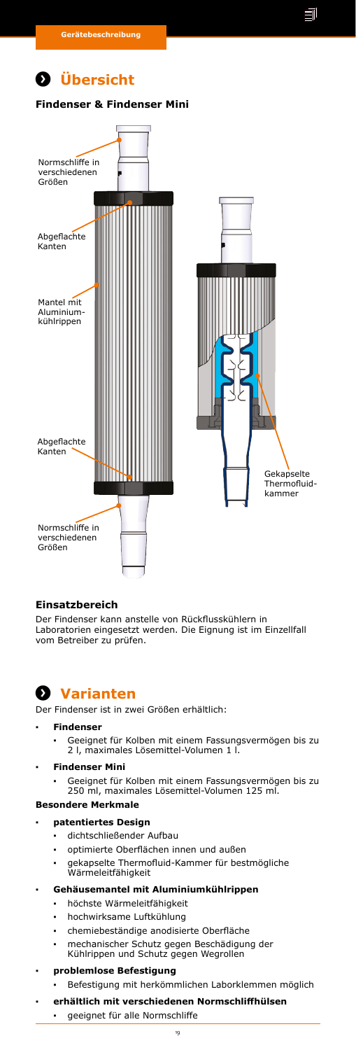

# <span id="page-18-0"></span>*<u>D* Übersicht</u>

#### **Findenser & Findenser Mini**



### **Einsatzbereich**

Der Findenser kann anstelle von Rückflusskühlern in Laboratorien eingesetzt werden. Die Eignung ist im Einzellfall vom Betreiber zu prüfen.

## **Varianten Varianten**

Der Findenser ist in zwei Größen erhältlich:

### **▪ Findenser**

**▪** Geeignet für Kolben mit einem Fassungsvermögen bis zu 2 l, maximales Lösemittel-Volumen 1 l.

### **▪ Findenser Mini**

**▪** Geeignet für Kolben mit einem Fassungsvermögen bis zu 250 ml, maximales Lösemittel-Volumen 125 ml.

### **Besondere Merkmale**

- **▪ patentiertes Design**
	- **▪** dichtschließender Aufbau
	- **▪** optimierte Oberflächen innen und außen
	- **▪** gekapselte Thermofluid-Kammer für bestmögliche Wärmeleitfähigkeit

### **▪ Gehäusemantel mit Aluminiumkühlrippen**

- **▪** höchste Wärmeleitfähigkeit
- **▪** hochwirksame Luftkühlung
- **▪** chemiebeständige anodisierte Oberfläche
- **▪** mechanischer Schutz gegen Beschädigung der Kühlrippen und Schutz gegen Wegrollen

### **▪ problemlose Befestigung**

- **▪** Befestigung mit herkömmlichen Laborklemmen möglich
	- **▪ erhältlich mit verschiedenen Normschliffhülsen**
		- geeignet für alle Normschliffe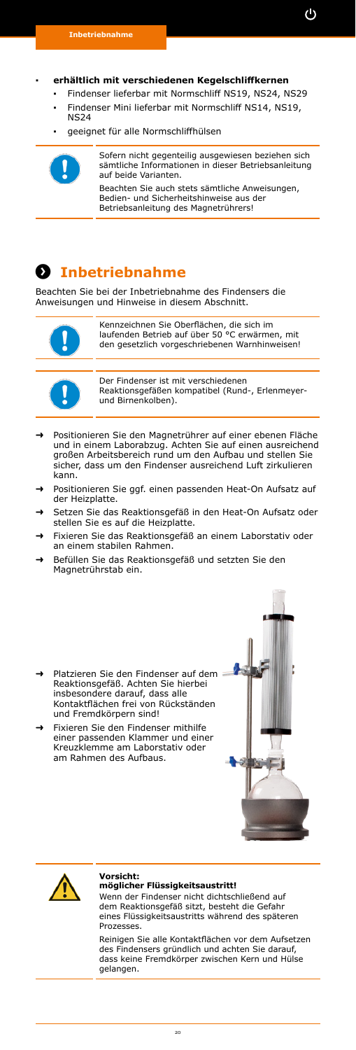### <span id="page-19-0"></span>**▪ erhältlich mit verschiedenen Kegelschliffkernen**

- **▪** Findenser lieferbar mit Normschliff NS19, NS24, NS29
- **▪** Findenser Mini lieferbar mit Normschliff NS14, NS19, NS24
- **▪** geeignet für alle Normschliffhülsen



Sofern nicht gegenteilig ausgewiesen beziehen sich sämtliche Informationen in dieser Betriebsanleitung auf beide Varianten.

Beachten Sie auch stets sämtliche Anweisungen, Bedien- und Sicherheitshinweise aus der Betriebsanleitung des Magnetrührers!

## **Inbetriebnahme Inbetriebnahme**

Beachten Sie bei der Inbetriebnahme des Findensers die Anweisungen und Hinweise in diesem Abschnitt.



Kennzeichnen Sie Oberflächen, die sich im laufenden Betrieb auf über 50 °C erwärmen, mit den gesetzlich vorgeschriebenen Warnhinweisen!



Der Findenser ist mit verschiedenen Reaktionsgefäßen kompatibel (Rund-, Erlenmeyerund Birnenkolben).

- ➜ Positionieren Sie den Magnetrührer auf einer ebenen Fläche und in einem Laborabzug. Achten Sie auf einen ausreichend großen Arbeitsbereich rund um den Aufbau und stellen Sie sicher, dass um den Findenser ausreichend Luft zirkulieren kann.
- Positionieren Sie ggf. einen passenden Heat-On Aufsatz auf der Heizplatte.
- Setzen Sie das Reaktionsgefäß in den Heat-On Aufsatz oder stellen Sie es auf die Heizplatte.
- ➜ Fixieren Sie das Reaktionsgefäß an einem Laborstativ oder an einem stabilen Rahmen.
- ➜ Befüllen Sie das Reaktionsgefäß und setzten Sie den Magnetrührstab ein.
- ➜ Platzieren Sie den Findenser auf dem Reaktionsgefäß. Achten Sie hierbei insbesondere darauf, dass alle Kontaktflächen frei von Rückständen und Fremdkörpern sind!
- ➜ Fixieren Sie den Findenser mithilfe einer passenden Klammer und einer Kreuzklemme am Laborstativ oder am Rahmen des Aufbaus.





#### **Vorsicht: möglicher Flüssigkeitsaustritt!**

Wenn der Findenser nicht dichtschließend auf dem Reaktionsgefäß sitzt, besteht die Gefahr eines Flüssigkeitsaustritts während des späteren **Prozesses** 

Reinigen Sie alle Kontaktflächen vor dem Aufsetzen des Findensers gründlich und achten Sie darauf, dass keine Fremdkörper zwischen Kern und Hülse gelangen.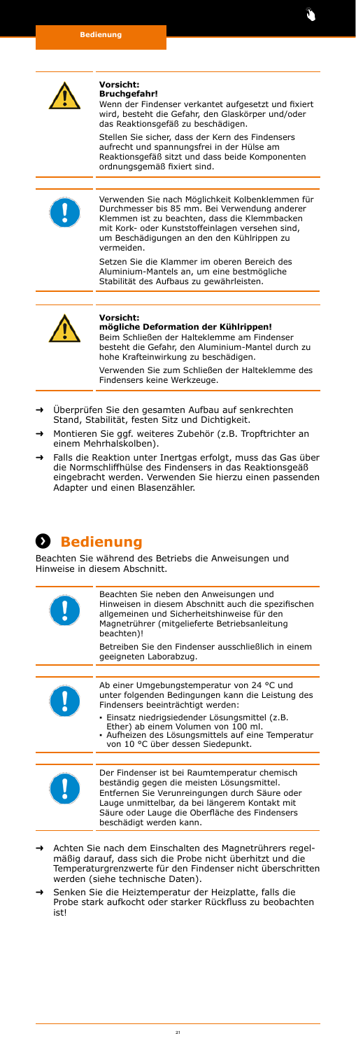<span id="page-20-0"></span>

#### **Vorsicht: Bruchgefahr!**

Wenn der Findenser verkantet aufgesetzt und fixiert wird, besteht die Gefahr, den Glaskörper und/oder das Reaktionsgefäß zu beschädigen.

Stellen Sie sicher, dass der Kern des Findensers aufrecht und spannungsfrei in der Hülse am Reaktionsgefäß sitzt und dass beide Komponenten ordnungsgemäß fixiert sind.



Verwenden Sie nach Möglichkeit Kolbenklemmen für Durchmesser bis 85 mm. Bei Verwendung anderer Klemmen ist zu beachten, dass die Klemmbacken mit Kork- oder Kunststoffeinlagen versehen sind, um Beschädigungen an den den Kühlrippen zu vermeiden.

Setzen Sie die Klammer im oberen Bereich des Aluminium-Mantels an, um eine bestmögliche Stabilität des Aufbaus zu gewährleisten.



### **Vorsicht:**

**mögliche Deformation der Kühlrippen!** Beim Schließen der Halteklemme am Findenser besteht die Gefahr, den Aluminium-Mantel durch zu

hohe Krafteinwirkung zu beschädigen. Verwenden Sie zum Schließen der Halteklemme des

Findensers keine Werkzeuge.

- ➜ Überprüfen Sie den gesamten Aufbau auf senkrechten Stand, Stabilität, festen Sitz und Dichtigkeit.
- ➜ Montieren Sie ggf. weiteres Zubehör (z.B. Tropftrichter an einem Mehrhalskolben).
- Falls die Reaktion unter Inertgas erfolgt, muss das Gas über die Normschliffhülse des Findensers in das Reaktionsgeäß eingebracht werden. Verwenden Sie hierzu einen passenden Adapter und einen Blasenzähler.

## **Bedienung Bedienung**

Beachten Sie während des Betriebs die Anweisungen und Hinweise in diesem Abschnitt.



- ➜ Achten Sie nach dem Einschalten des Magnetrührers regel-mäßig darauf, dass sich die Probe nicht überhitzt und die Temperaturgrenzwerte für den Findenser nicht überschritten werden (siehe technische Daten).
- Senken Sie die Heiztemperatur der Heizplatte, falls die Probe stark aufkocht oder starker Rückfluss zu beobachten ict!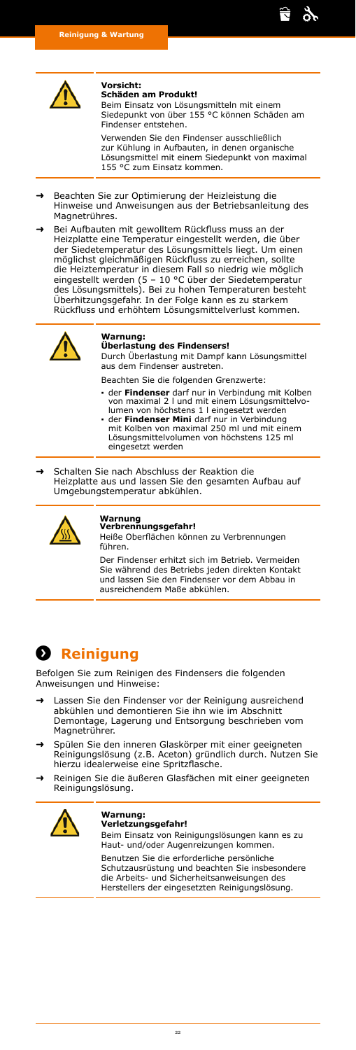<span id="page-21-0"></span>

#### **Vorsicht: Schäden am Produkt!**

Beim Einsatz von Lösungsmitteln mit einem Siedepunkt von über 155 °C können Schäden am Findenser entstehen.

\$,

Verwenden Sie den Findenser ausschließlich zur Kühlung in Aufbauten, in denen organische Lösungsmittel mit einem Siedepunkt von maximal 155 °C zum Einsatz kommen.

- ➜ Beachten Sie zur Optimierung der Heizleistung die Hinweise und Anweisungen aus der Betriebsanleitung des Magnetrühres.
- ➜ Bei Aufbauten mit gewolltem Rückfluss muss an der Heizplatte eine Temperatur eingestellt werden, die über der Siedetemperatur des Lösungsmittels liegt. Um einen möglichst gleichmäßigen Rückfluss zu erreichen, sollte die Heiztemperatur in diesem Fall so niedrig wie möglich eingestellt werden (5 – 10 °C über der Siedetemperatur des Lösungsmittels). Bei zu hohen Temperaturen besteht Überhitzungsgefahr. In der Folge kann es zu starkem Rückfluss und erhöhtem Lösungsmittelverlust kommen.



### **Warnung:**

**Überlastung des Findensers!**

Durch Überlastung mit Dampf kann Lösungsmittel aus dem Findenser austreten.

- Beachten Sie die folgenden Grenzwerte:
- **▪** der **Findenser** darf nur in Verbindung mit Kolben von maximal 2 l und mit einem Lösungsmittelvo-lumen von höchstens 1 l eingesetzt werden
- **▪** der **Findenser Mini** darf nur in Verbindung mit Kolben von maximal 250 ml und mit einem Lösungsmittelvolumen von höchstens 125 ml eingesetzt werden

➜ Schalten Sie nach Abschluss der Reaktion die Heizplatte aus und lassen Sie den gesamten Aufbau auf Umgebungstemperatur abkühlen.



### **Warnung Verbrennungsgefahr!**

Heiße Oberflächen können zu Verbrennungen führen.

Der Findenser erhitzt sich im Betrieb. Vermeiden Sie während des Betriebs jeden direkten Kontakt und lassen Sie den Findenser vor dem Abbau in ausreichendem Maße abkühlen.

# *Reinigung*

Befolgen Sie zum Reinigen des Findensers die folgenden Anweisungen und Hinweise:

- ➜ Lassen Sie den Findenser vor der Reinigung ausreichend abkühlen und demontieren Sie ihn wie im Abschnitt Demontage, Lagerung und Entsorgung beschrieben vom Magnetrührer.
- ➜ Spülen Sie den inneren Glaskörper mit einer geeigneten Reinigungslösung (z.B. Aceton) gründlich durch. Nutzen Sie hierzu idealerweise eine Spritzflasche.
- ➜ Reinigen Sie die äußeren Glasfächen mit einer geeigneten Reinigungslösung.



#### **Warnung: Verletzungsgefahr!**

Beim Einsatz von Reinigungslösungen kann es zu Haut- und/oder Augenreizungen kommen.

Benutzen Sie die erforderliche persönliche Schutzausrüstung und beachten Sie insbesondere die Arbeits- und Sicherheitsanweisungen des Herstellers der eingesetzten Reinigungslösung.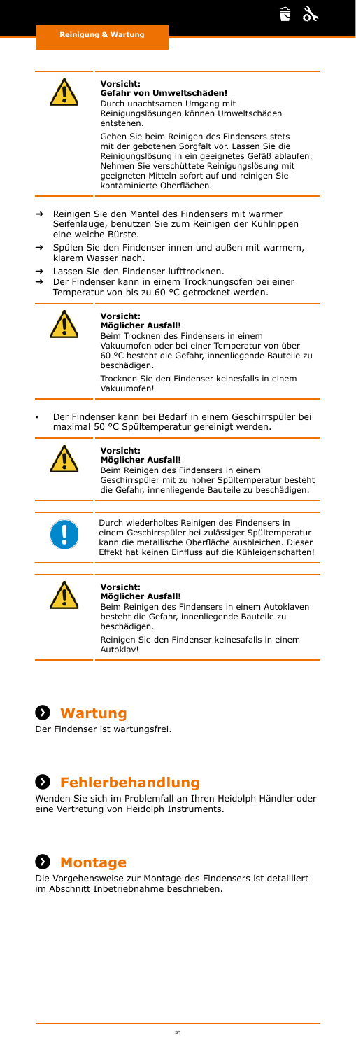<span id="page-22-0"></span>

**Vorsicht: Gefahr von Umweltschäden!**

Durch unachtsamen Umgang mit Reinigungslösungen können Umweltschäden entstehen.

Gehen Sie beim Reinigen des Findensers stets<br>mit der gebotenen Sorgfalt vor. Lassen Sie die mit der gebotenen Sorgfalt vor. Lassen Reinigungslösung in ein geeignetes Gefäß ablaufen. Nehmen Sie verschüttete Reinigungslösung mit geeigneten Mitteln sofort auf und reinigen Sie kontaminierte Oberflächen.

ਵਿ ş,

- ➜ Reinigen Sie den Mantel des Findensers mit warmer Seifenlauge, benutzen Sie zum Reinigen der Kühlrippen eine weiche Bürste.
- Spülen Sie den Findenser innen und außen mit warmem, klarem Wasser nach.
- ➜ Lassen Sie den Findenser lufttrocknen.
- ➜ Der Findenser kann in einem Trocknungsofen bei einer Temperatur von bis zu 60 °C getrocknet werden.



#### **Vorsicht: Möglicher Ausfall!**

Beim Trocknen des Findensers in einem Vakuumofen oder bei einer Temperatur von über 60 °C besteht die Gefahr, innenliegende Bauteile zu beschädigen. Trocknen Sie den Findenser keinesfalls in einem

Vakuumofen!

**▪** Der Findenser kann bei Bedarf in einem Geschirrspüler bei maximal 50 °C Spültemperatur gereinigt werden.



### **Vorsicht:**

**Möglicher Ausfall!** Beim Reinigen des Findensers in einem Geschirrspüler mit zu hoher Spültemperatur besteht die Gefahr, innenliegende Bauteile zu beschädigen.

$$
\begin{array}{c}\n\bullet \\
\bullet\n\end{array}
$$

Durch wiederholtes Reinigen des Findensers in einem Geschirrspüler bei zulässiger Spültemperatur kann die metallische Oberfläche ausbleichen. Dieser Effekt hat keinen Einfluss auf die Kühleigenschaften!



#### **Vorsicht: Möglicher Ausfall!**

Beim Reinigen des Findensers in einem Autoklaven besteht die Gefahr, innenliegende Bauteile zu beschädigen. Reinigen Sie den Findenser keinesafalls in einem **Autoklav!** 

**Wartung Wartung**

Der Findenser ist wartungsfrei.

### **Fehlerbehandlung Fehlerbehandlung**

Wenden Sie sich im Problemfall an Ihren Heidolph Händler oder eine Vertretung von Heidolph Instruments.

# **Montage Montage**

Die Vorgehensweise zur Montage des Findensers ist detailliert im Abschnitt Inbetriebnahme beschrieben.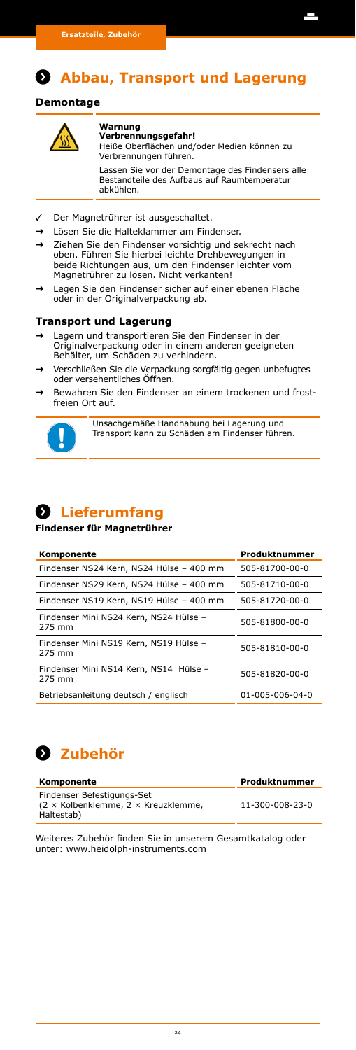# <span id="page-23-0"></span>**D** Abbau, Transport und Lagerung

### **Demontage**



#### **Warnung Verbrennungsgefahr!**

Heiße Oberflächen und/oder Medien können zu Verbrennungen führen.

Ŧ

Lassen Sie vor der Demontage des Findensers alle Bestandteile des Aufbaus auf Raumtemperatur abkühlen.

- Der Magnetrührer ist ausgeschaltet.
- ➜ Lösen Sie die Halteklammer am Findenser.
- Ziehen Sie den Findenser vorsichtig und sekrecht nach oben. Führen Sie hierbei leichte Drehbewegungen in beide Richtungen aus, um den Findenser leichter vom Magnetrührer zu lösen. Nicht verkanten!
- ➜ Legen Sie den Findenser sicher auf einer ebenen Fläche oder in der Originalverpackung ab.

### **Transport und Lagerung**

- Lagern und transportieren Sie den Findenser in der Originalverpackung oder in einem anderen geeigneten Behälter, um Schäden zu verhindern.
- ➜ Verschließen Sie die Verpackung sorgfältig gegen unbefugtes oder versehentliches Öffnen.
- ➜ Bewahren Sie den Findenser an einem trockenen und frostfreien Ort auf.



Unsachgemäße Handhabung bei Lagerung und Transport kann zu Schäden am Findenser führen.

# **Lieferumfang Lieferumfang**

**Findenser für Magnetrührer**

| Komponente                                       | Produktnummer   |
|--------------------------------------------------|-----------------|
| Findenser NS24 Kern, NS24 Hülse - 400 mm         | 505-81700-00-0  |
| Findenser NS29 Kern, NS24 Hülse - 400 mm         | 505-81710-00-0  |
| Findenser NS19 Kern, NS19 Hülse - 400 mm         | 505-81720-00-0  |
| Findenser Mini NS24 Kern, NS24 Hülse -<br>275 mm | 505-81800-00-0  |
| Findenser Mini NS19 Kern, NS19 Hülse -<br>275 mm | 505-81810-00-0  |
| Findenser Mini NS14 Kern, NS14 Hülse -<br>275 mm | 505-81820-00-0  |
| Betriebsanleitung deutsch / englisch             | 01-005-006-04-0 |



| Komponente                                                                                    | Produktnummer   |
|-----------------------------------------------------------------------------------------------|-----------------|
| Findenser Befestigungs-Set<br>$(2 \times$ Kolbenklemme, $2 \times$ Kreuzklemme,<br>Haltestab) | 11-300-008-23-0 |

Weiteres Zubehör finden Sie in unserem Gesamtkatalog oder unter: www.heidolph-instruments.com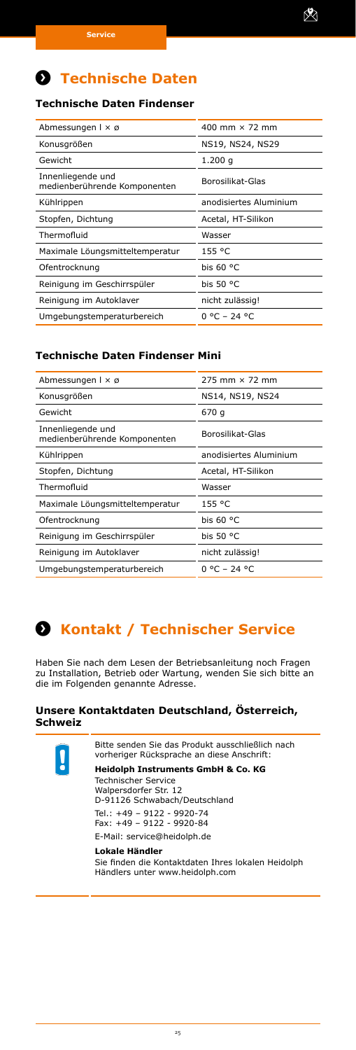# <span id="page-24-0"></span>**Anhang Technische Daten**

### **Technische Daten Findenser**

| Abmessungen $1 \times \emptyset$                  | 400 mm $\times$ 72 mm  |
|---------------------------------------------------|------------------------|
| Konusgrößen                                       | NS19, NS24, NS29       |
| Gewicht                                           | 1.200q                 |
| Innenliegende und<br>medienberührende Komponenten | Borosilikat-Glas       |
| Kühlrippen                                        | anodisiertes Aluminium |
| Stopfen, Dichtung                                 | Acetal, HT-Silikon     |
| Thermofluid                                       | Wasser                 |
| Maximale Löungsmitteltemperatur                   | 155 °C                 |
| Ofentrocknung                                     | bis $60 °C$            |
| Reinigung im Geschirrspüler                       | bis $50 °C$            |
| Reinigung im Autoklaver                           | nicht zulässig!        |
| Umgebungstemperaturbereich                        | <u>በ °C – 24 °C</u>    |

### **Technische Daten Findenser Mini**

| Abmessungen $1 \times \emptyset$                  | 275 mm $\times$ 72 mm  |
|---------------------------------------------------|------------------------|
| Konusgrößen                                       | NS14, NS19, NS24       |
| Gewicht                                           | 670 g                  |
| Innenliegende und<br>medienberührende Komponenten | Borosilikat-Glas       |
| Kühlrippen                                        | anodisiertes Aluminium |
| Stopfen, Dichtung                                 | Acetal, HT-Silikon     |
| Thermofluid                                       | Wasser                 |
| Maximale Löungsmitteltemperatur                   | 155 °C                 |
| Ofentrocknung                                     | bis $60 °C$            |
| Reinigung im Geschirrspüler                       | bis $50 °C$            |
| Reinigung im Autoklaver                           | nicht zulässig!        |
| Umgebungstemperaturbereich                        | $0 °C - 24 °C$         |

# **Service Kontakt / Technischer Service**

Haben Sie nach dem Lesen der Betriebsanleitung noch Fragen zu Installation, Betrieb oder Wartung, wenden Sie sich bitte an die im Folgenden genannte Adresse.

### **Unsere Kontaktdaten Deutschland, Österreich, Schweiz**



Bitte senden Sie das Produkt ausschließlich nach vorheriger Rücksprache an diese Anschrift:

**Heidolph Instruments GmbH & Co. KG**

Technischer Service Walpersdorfer Str. 12 D-91126 Schwabach/Deutschland Tel.: +49 – 9122 - 9920-74 Fax: +49 – 9122 - 9920-84 E-Mail: service@heidolph.de

**Lokale Händler** Sie finden die Kontaktdaten Ihres lokalen Heidolph Händlers unter www.heidolph.com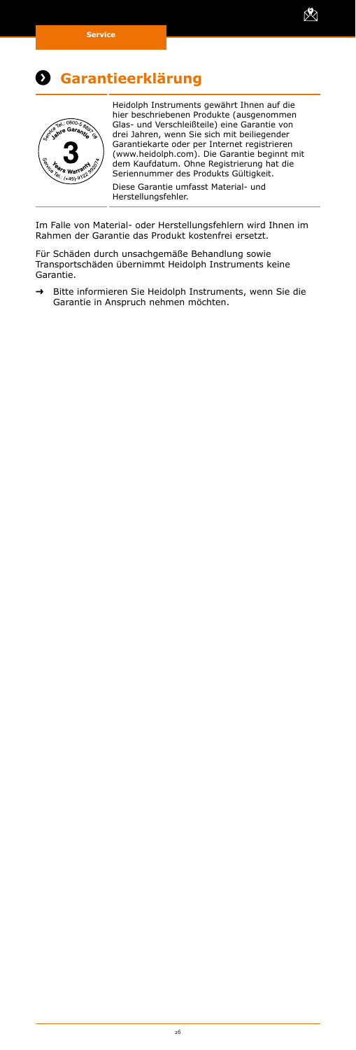<span id="page-25-0"></span>



Heidolph Instruments gewährt Ihnen auf die hier beschriebenen Produkte (ausgenommen Glas- und Verschleißteile) eine Garantie von drei Jahren, wenn Sie sich mit beiliegender Garantiekarte oder per Internet registrieren (www.heidolph.com). Die Garantie beginnt mit dem Kaufdatum. Ohne Registrierung hat die Seriennummer des Produkts Gültigkeit. Diese Garantie umfasst Material- und Herstellungsfehler.

X

Im Falle von Material- oder Herstellungsfehlern wird Ihnen im Rahmen der Garantie das Produkt kostenfrei ersetzt.

Für Schäden durch unsachgemäße Behandlung sowie Transportschäden übernimmt Heidolph Instruments keine Garantie.

➜ Bitte informieren Sie Heidolph Instruments, wenn Sie die Garantie in Anspruch nehmen möchten.